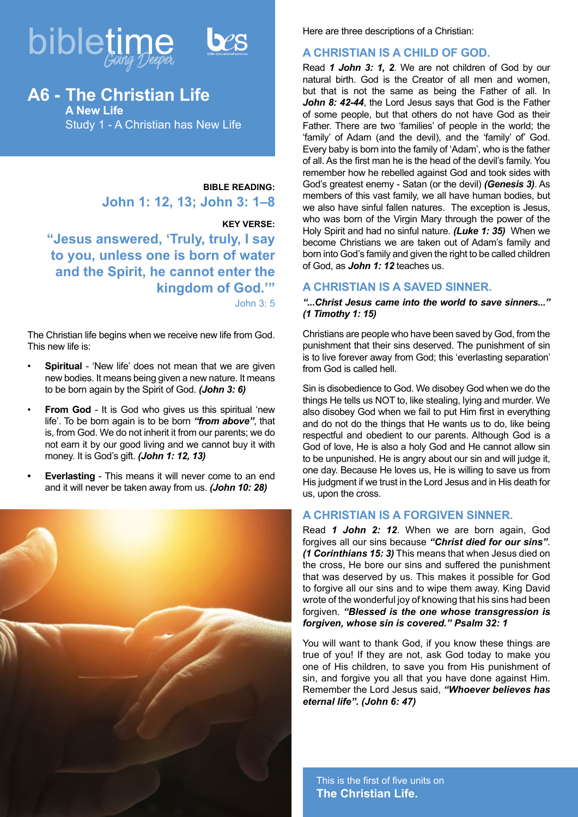



# **A6 - The Christian Life A New Life** Study 1 - A Christian has New Life

**BIBLE READING: John 1: 12, 13; John 3: 1–8** 

#### **KEY VERSE:**

**"Jesus answered, 'Truly, truly, I say to you, unless one is born of water and the Spirit, he cannot enter the kingdom of God.'"**

John 3: 5

The Christian life begins when we receive new life from God. This new life is:

- **Spiritual** 'New life' does not mean that we are given new bodies. It means being given a new nature. It means to be born again by the Spirit of God. *(John 3: 6)*
- **From God** It is God who gives us this spiritual 'new life'. To be born again is to be born *"from above"*, that is, from God. We do not inherit it from our parents; we do not earn it by our good living and we cannot buy it with money. It is God's gift. *(John 1: 12, 13)*
- **• Everlasting** This means it will never come to an end and it will never be taken away from us. *(John 10: 28)*



Here are three descriptions of a Christian:

### **A CHRISTIAN IS A CHILD OF GOD.**

Read *1 John 3: 1, 2*. We are not children of God by our natural birth. God is the Creator of all men and women, but that is not the same as being the Father of all. In *John 8: 42-44*, the Lord Jesus says that God is the Father of some people, but that others do not have God as their Father. There are two 'families' of people in the world; the 'family' of Adam (and the devil), and the 'family' of' God. Every baby is born into the family of 'Adam', who is the father of all. As the first man he is the head of the devil's family. You remember how he rebelled against God and took sides with God's greatest enemy - Satan (or the devil) *(Genesis 3)*. As members of this vast family, we all have human bodies, but we also have sinful fallen natures. The exception is Jesus, who was born of the Virgin Mary through the power of the Holy Spirit and had no sinful nature. *(Luke 1: 35)* When we become Christians we are taken out of Adam's family and born into God's family and given the right to be called children of God, as *John 1: 12* teaches us.

## **A CHRISTIAN IS A SAVED SINNER.**

#### *"...Christ Jesus came into the world to save sinners..." (1 Timothy 1: 15)*

Christians are people who have been saved by God, from the punishment that their sins deserved. The punishment of sin is to live forever away from God; this 'everlasting separation' from God is called hell.

Sin is disobedience to God. We disobey God when we do the things He tells us NOT to, like stealing, lying and murder. We also disobey God when we fail to put Him first in everything and do not do the things that He wants us to do, like being respectful and obedient to our parents. Although God is a God of love, He is also a holy God and He cannot allow sin to be unpunished. He is angry about our sin and will judge it, one day. Because He loves us, He is willing to save us from His judgment if we trust in the Lord Jesus and in His death for us, upon the cross.

# **A CHRISTIAN IS A FORGIVEN SINNER.**

Read *1 John 2: 12*. When we are born again, God forgives all our sins because *"Christ died for our sins"*. *(1 Corinthians 15: 3)* This means that when Jesus died on the cross, He bore our sins and suffered the punishment that was deserved by us. This makes it possible for God to forgive all our sins and to wipe them away. King David wrote of the wonderful joy of knowing that his sins had been forgiven. *"Blessed is the one whose transgression is forgiven, whose sin is covered." Psalm 32: 1*

You will want to thank God, if you know these things are true of you! If they are not, ask God today to make you one of His children, to save you from His punishment of sin, and forgive you all that you have done against Him. Remember the Lord Jesus said, *"Whoever believes has eternal life". (John 6: 47)*

This is the first of five units on **The Christian Life.**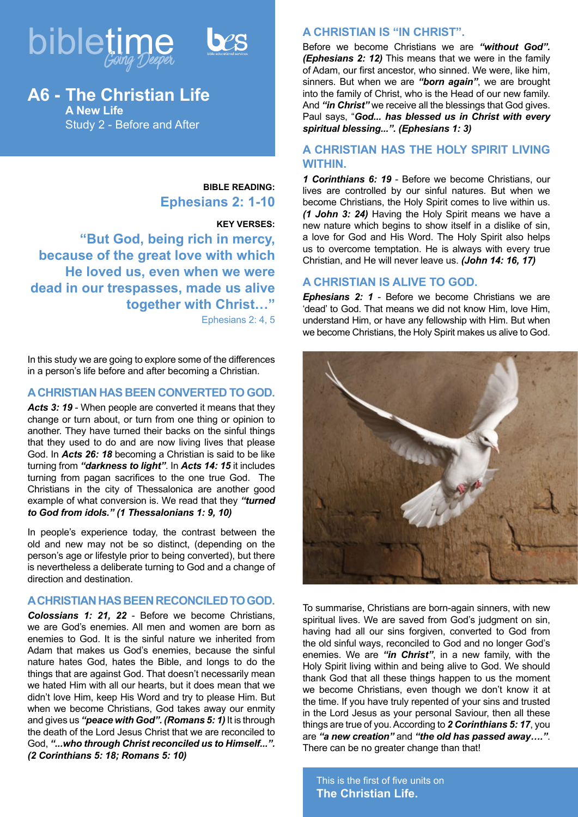



# **A6 - The Christian Life A New Life** Study 2 - Before and After

**BIBLE READING: Ephesians 2: 1-10**

#### **KEY VERSES:**

**"But God, being rich in mercy, because of the great love with which He loved us, even when we were dead in our trespasses, made us alive together with Christ…"** Ephesians 2: 4, 5

In this study we are going to explore some of the differences in a person's life before and after becoming a Christian.

### **A CHRISTIAN HAS BEEN CONVERTED TO GOD.**

Acts 3: 19 - When people are converted it means that they change or turn about, or turn from one thing or opinion to another. They have turned their backs on the sinful things that they used to do and are now living lives that please God. In *Acts 26: 18* becoming a Christian is said to be like turning from *"darkness to light"*. In *Acts 14: 15* it includes turning from pagan sacrifices to the one true God. The Christians in the city of Thessalonica are another good example of what conversion is. We read that they *"turned to God from idols." (1 Thessalonians 1: 9, 10)*

In people's experience today, the contrast between the old and new may not be so distinct, (depending on the person's age or lifestyle prior to being converted), but there is nevertheless a deliberate turning to God and a change of direction and destination.

# **A CHRISTIAN HAS BEEN RECONCILED TO GOD.**

*Colossians 1: 21, 22* - Before we become Christians, we are God's enemies. All men and women are born as enemies to God. It is the sinful nature we inherited from Adam that makes us God's enemies, because the sinful nature hates God, hates the Bible, and longs to do the things that are against God. That doesn't necessarily mean we hated Him with all our hearts, but it does mean that we didn't love Him, keep His Word and try to please Him. But when we become Christians, God takes away our enmity and gives us *"peace with God". (Romans 5: 1)* It is through the death of the Lord Jesus Christ that we are reconciled to God, *"...who through Christ reconciled us to Himself...". (2 Corinthians 5: 18; Romans 5: 10)*

## **A CHRISTIAN IS "IN CHRIST".**

Before we become Christians we are *"without God". (Ephesians 2: 12)* This means that we were in the family of Adam, our first ancestor, who sinned. We were, like him, sinners. But when we are *"born again"*, we are brought into the family of Christ, who is the Head of our new family. And *"in Christ"* we receive all the blessings that God gives. Paul says, "*God... has blessed us in Christ with every spiritual blessing...". (Ephesians 1: 3)*

## **A CHRISTIAN HAS THE HOLY SPIRIT LIVING WITHIN.**

*1 Corinthians 6: 19* - Before we become Christians, our lives are controlled by our sinful natures. But when we become Christians, the Holy Spirit comes to live within us. *(1 John 3: 24)* Having the Holy Spirit means we have a new nature which begins to show itself in a dislike of sin, a love for God and His Word. The Holy Spirit also helps us to overcome temptation. He is always with every true Christian, and He will never leave us. *(John 14: 16, 17)*

## **A CHRISTIAN IS ALIVE TO GOD.**

*Ephesians 2: 1 - Before we become Christians we are* 'dead' to God. That means we did not know Him, love Him, understand Him, or have any fellowship with Him. But when we become Christians, the Holy Spirit makes us alive to God.



To summarise, Christians are born-again sinners, with new spiritual lives. We are saved from God's judgment on sin, having had all our sins forgiven, converted to God from the old sinful ways, reconciled to God and no longer God's enemies. We are *"in Christ"*, in a new family, with the Holy Spirit living within and being alive to God. We should thank God that all these things happen to us the moment we become Christians, even though we don't know it at the time. If you have truly repented of your sins and trusted in the Lord Jesus as your personal Saviour, then all these things are true of you. According to *2 Corinthians 5: 17*, you are *"a new creation"* and *"the old has passed away…."*. There can be no greater change than that!

This is the first of five units on **The Christian Life.**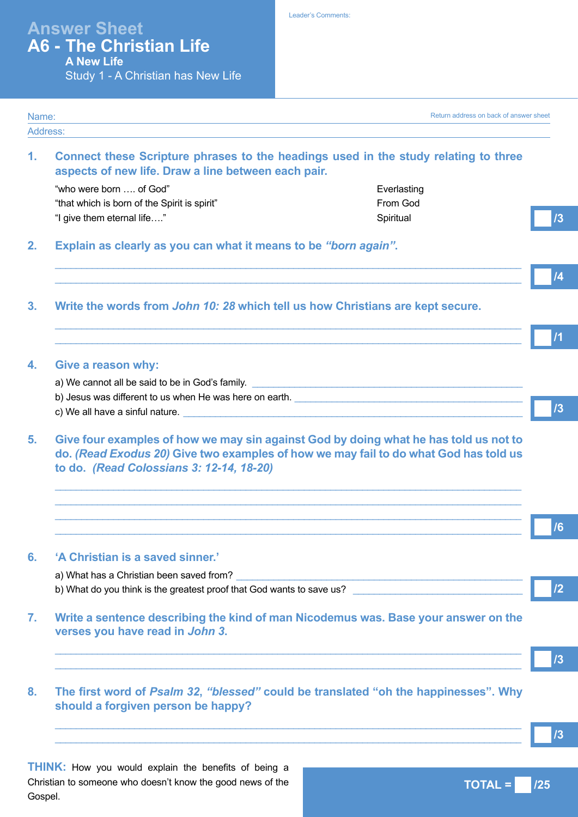**1. Connect these Scripture phrases to the headings used in the study relating to three aspects of new life. Draw a line between each pair.** "who were born .... of God" example a strategies who were born the Code of God" example a strategies who Everlasting "that which is born of the Spirit is spirit" From God "I give them eternal life…." Spiritual **2. Explain as clearly as you can what it means to be** *"born again"***.**  $\_$  ,  $\_$  ,  $\_$  ,  $\_$  ,  $\_$  ,  $\_$  ,  $\_$  ,  $\_$  ,  $\_$  ,  $\_$  ,  $\_$  ,  $\_$  ,  $\_$  ,  $\_$  ,  $\_$  ,  $\_$  ,  $\_$  ,  $\_$  ,  $\_$  ,  $\_$  ,  $\_$  ,  $\_$  ,  $\_$  ,  $\_$  ,  $\_$  ,  $\_$  ,  $\_$  ,  $\_$  ,  $\_$  ,  $\_$  ,  $\_$  ,  $\_$  ,  $\_$  ,  $\_$  ,  $\_$  ,  $\_$  ,  $\_$  ,  $\_$  ,  $\_$  ,  $\_$  ,  $\_$  ,  $\_$  ,  $\_$  ,  $\_$  ,  $\_$  ,  $\_$  ,  $\_$  ,  $\_$  ,  $\_$  ,  $\_$  ,  $\_$  ,  $\_$  ,  $\_$  ,  $\_$  ,  $\_$  ,  $\_$  ,  $\_$  ,  $\_$  ,  $\_$  ,  $\_$  ,  $\_$  ,  $\_$  ,  $\_$  ,  $\_$  ,  $\_$  ,  $\_$  ,  $\_$  ,  $\_$  ,  $\_$  ,  $\_$  ,  $\_$  ,  $\_$  ,  $\_$  ,  $\_$  , **3. Write the words from** *John 10: 28* **which tell us how Christians are kept secure.**  $\_$  ,  $\_$  ,  $\_$  ,  $\_$  ,  $\_$  ,  $\_$  ,  $\_$  ,  $\_$  ,  $\_$  ,  $\_$  ,  $\_$  ,  $\_$  ,  $\_$  ,  $\_$  ,  $\_$  ,  $\_$  ,  $\_$  ,  $\_$  ,  $\_$  ,  $\_$  ,  $\_$  ,  $\_$  ,  $\_$  ,  $\_$  ,  $\_$  ,  $\_$  ,  $\_$  ,  $\_$  ,  $\_$  ,  $\_$  ,  $\_$  ,  $\_$  ,  $\_$  ,  $\_$  ,  $\_$  ,  $\_$  ,  $\_$  ,  $\_$  ,  $\_$  ,  $\_$  ,  $\_$  ,  $\_$  ,  $\_$  ,  $\_$  ,  $\_$  ,  $\_$  ,  $\_$  ,  $\_$  ,  $\_$  ,  $\_$  ,  $\_$  ,  $\_$  ,  $\_$  ,  $\_$  ,  $\_$  ,  $\_$  ,  $\_$  ,  $\_$  ,  $\_$  ,  $\_$  ,  $\_$  ,  $\_$  ,  $\_$  ,  $\_$  ,  $\_$  ,  $\_$  ,  $\_$  ,  $\_$  ,  $\_$  ,  $\_$  ,  $\_$  ,  $\_$  ,  $\_$  ,  $\_$  , **4. Give a reason why:** a) We cannot all be said to be in God's family. b) Jesus was different to us when He was here on earth. c) We all have a sinful nature. **5. Give four examples of how we may sin against God by doing what he has told us not to do.** *(Read Exodus 20)* **Give two examples of how we may fail to do what God has told us to do.** *(Read Colossians 3: 12-14, 18-20)*   $\Box$  . The contribution of the contribution of the contribution of the contribution of the contribution of the contribution of the contribution of the contribution of the contribution of the contribution of the contributi  $\Box$  . The contribution of the contribution of the contribution of the contribution of the contribution of the contribution of the contribution of the contribution of the contribution of the contribution of the contributi  $\Box$  . The contribution of the contribution of the contribution of the contribution of the contribution of the contribution of the contribution of the contribution of the contribution of the contribution of the contributi  $\Box$  . The contribution of the contribution of the contribution of the contribution of the contribution of the contribution of the contribution of the contribution of the contribution of the contribution of the contributi **6. 'A Christian is a saved sinner.'** a) What has a Christian been saved from? b) What do you think is the greatest proof that God wants to save us? **7. Write a sentence describing the kind of man Nicodemus was. Base your answer on the verses you have read in** *John 3***.**  $\_$  ,  $\_$  ,  $\_$  ,  $\_$  ,  $\_$  ,  $\_$  ,  $\_$  ,  $\_$  ,  $\_$  ,  $\_$  ,  $\_$  ,  $\_$  ,  $\_$  ,  $\_$  ,  $\_$  ,  $\_$  ,  $\_$  ,  $\_$  ,  $\_$  ,  $\_$  ,  $\_$  ,  $\_$  ,  $\_$  ,  $\_$  ,  $\_$  ,  $\_$  ,  $\_$  ,  $\_$  ,  $\_$  ,  $\_$  ,  $\_$  ,  $\_$  ,  $\_$  ,  $\_$  ,  $\_$  ,  $\_$  ,  $\_$  ,  $\_$  ,  $\_$  ,  $\_$  ,  $\_$  ,  $\_$  ,  $\_$  ,  $\_$  ,  $\_$  ,  $\_$  ,  $\_$  ,  $\_$  ,  $\_$  ,  $\_$  ,  $\_$  ,  $\_$  ,  $\_$  ,  $\_$  ,  $\_$  ,  $\_$  ,  $\_$  ,  $\_$  ,  $\_$  ,  $\_$  ,  $\_$  ,  $\_$  ,  $\_$  ,  $\_$  ,  $\_$  ,  $\_$  ,  $\_$  ,  $\_$  ,  $\_$  ,  $\_$  ,  $\_$  ,  $\_$  ,  $\_$  ,  $\_$  , **8. The first word of** *Psalm 32***,** *"blessed"* **could be translated "oh the happinesses". Why should a forgiven person be happy?**  $\_$  ,  $\_$  ,  $\_$  ,  $\_$  ,  $\_$  ,  $\_$  ,  $\_$  ,  $\_$  ,  $\_$  ,  $\_$  ,  $\_$  ,  $\_$  ,  $\_$  ,  $\_$  ,  $\_$  ,  $\_$  ,  $\_$  ,  $\_$  ,  $\_$  ,  $\_$  ,  $\_$  ,  $\_$  ,  $\_$  ,  $\_$  ,  $\_$  ,  $\_$  ,  $\_$  ,  $\_$  ,  $\_$  ,  $\_$  ,  $\_$  ,  $\_$  ,  $\_$  ,  $\_$  ,  $\_$  ,  $\_$  ,  $\_$  ,  $\_$  ,  $\_$  ,  $\_$  ,  $\_$  ,  $\_$  ,  $\_$  ,  $\_$  ,  $\_$  ,  $\_$  ,  $\_$  ,  $\_$  ,  $\_$  ,  $\_$  ,  $\_$  ,  $\_$  ,  $\_$  ,  $\_$  ,  $\_$  ,  $\_$  ,  $\_$  ,  $\_$  ,  $\_$  ,  $\_$  ,  $\_$  ,  $\_$  ,  $\_$  ,  $\_$  ,  $\_$  ,  $\_$  ,  $\_$  ,  $\_$  ,  $\_$  ,  $\_$  ,  $\_$  ,  $\_$  ,  $\_$  ,  $\_$  , **Answer Sheet A6 - The Christian Life A New Life** Study 1 - A Christian has New Life **/3 /4 /1 /3 /6** Name: Address: Return address on back of answer sheet **/2 /3 /3**

Leader's Comments:

**THINK:** How you would explain the benefits of being a Christian to someone who doesn't know the good news of the Gospel.

**TOTAL = 725**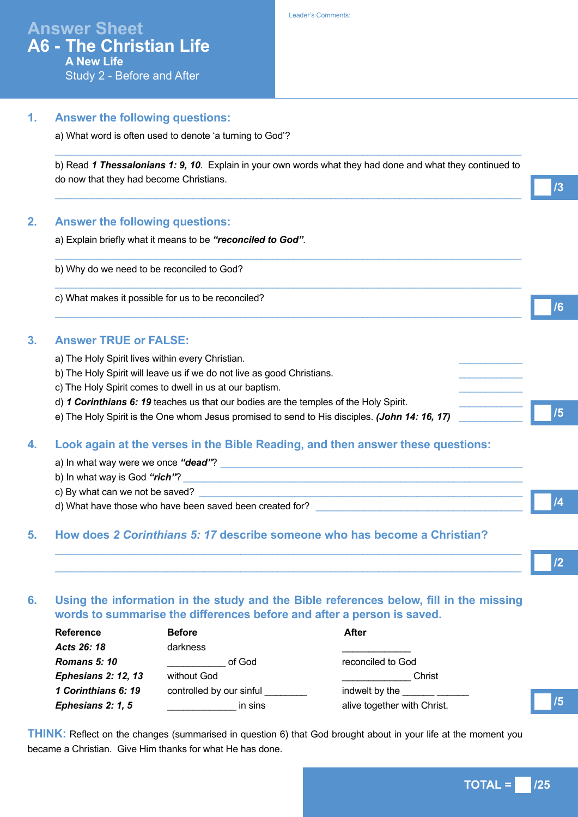# **Answer Sheet A6 - The Christian Life A New Life**

Study 2 - Before and After

#### **1. Answer the following questions:**

a) What word is often used to denote 'a turning to God'?

b) Read *1 Thessalonians 1: 9, 10*. Explain in your own words what they had done and what they continued to do now that they had become Christians.

 $\_$  ,  $\_$  ,  $\_$  ,  $\_$  ,  $\_$  ,  $\_$  ,  $\_$  ,  $\_$  ,  $\_$  ,  $\_$  ,  $\_$  ,  $\_$  ,  $\_$  ,  $\_$  ,  $\_$  ,  $\_$  ,  $\_$  ,  $\_$  ,  $\_$  ,  $\_$  ,  $\_$  ,  $\_$  ,  $\_$  ,  $\_$  ,  $\_$  ,  $\_$  ,  $\_$  ,  $\_$  ,  $\_$  ,  $\_$  ,  $\_$  ,  $\_$  ,  $\_$  ,  $\_$  ,  $\_$  ,  $\_$  ,  $\_$  ,

 $\_$  ,  $\_$  ,  $\_$  ,  $\_$  ,  $\_$  ,  $\_$  ,  $\_$  ,  $\_$  ,  $\_$  ,  $\_$  ,  $\_$  ,  $\_$  ,  $\_$  ,  $\_$  ,  $\_$  ,  $\_$  ,  $\_$  ,  $\_$  ,  $\_$  ,  $\_$  ,  $\_$  ,  $\_$  ,  $\_$  ,  $\_$  ,  $\_$  ,  $\_$  ,  $\_$  ,  $\_$  ,  $\_$  ,  $\_$  ,  $\_$  ,  $\_$  ,  $\_$  ,  $\_$  ,  $\_$  ,  $\_$  ,  $\_$  ,

 $\_$  ,  $\_$  ,  $\_$  ,  $\_$  ,  $\_$  ,  $\_$  ,  $\_$  ,  $\_$  ,  $\_$  ,  $\_$  ,  $\_$  ,  $\_$  ,  $\_$  ,  $\_$  ,  $\_$  ,  $\_$  ,  $\_$  ,  $\_$  ,  $\_$  ,  $\_$  ,  $\_$  ,  $\_$  ,  $\_$  ,  $\_$  ,  $\_$  ,  $\_$  ,  $\_$  ,  $\_$  ,  $\_$  ,  $\_$  ,  $\_$  ,  $\_$  ,  $\_$  ,  $\_$  ,  $\_$  ,  $\_$  ,  $\_$  ,

 $\_$  ,  $\_$  ,  $\_$  ,  $\_$  ,  $\_$  ,  $\_$  ,  $\_$  ,  $\_$  ,  $\_$  ,  $\_$  ,  $\_$  ,  $\_$  ,  $\_$  ,  $\_$  ,  $\_$  ,  $\_$  ,  $\_$  ,  $\_$  ,  $\_$  ,  $\_$  ,  $\_$  ,  $\_$  ,  $\_$  ,  $\_$  ,  $\_$  ,  $\_$  ,  $\_$  ,  $\_$  ,  $\_$  ,  $\_$  ,  $\_$  ,  $\_$  ,  $\_$  ,  $\_$  ,  $\_$  ,  $\_$  ,  $\_$  ,

 $\_$  ,  $\_$  ,  $\_$  ,  $\_$  ,  $\_$  ,  $\_$  ,  $\_$  ,  $\_$  ,  $\_$  ,  $\_$  ,  $\_$  ,  $\_$  ,  $\_$  ,  $\_$  ,  $\_$  ,  $\_$  ,  $\_$  ,  $\_$  ,  $\_$  ,  $\_$  ,  $\_$  ,  $\_$  ,  $\_$  ,  $\_$  ,  $\_$  ,  $\_$  ,  $\_$  ,  $\_$  ,  $\_$  ,  $\_$  ,  $\_$  ,  $\_$  ,  $\_$  ,  $\_$  ,  $\_$  ,  $\_$  ,  $\_$  ,

#### **2. Answer the following questions:**

a) Explain briefly what it means to be *"reconciled to God"*.

b) Why do we need to be reconciled to God?

c) What makes it possible for us to be reconciled?

#### **3. Answer TRUE or FALSE:**

- a) The Holy Spirit lives within every Christian.
- b) The Holy Spirit will leave us if we do not live as good Christians.
- c) The Holy Spirit comes to dwell in us at our baptism.
- d) *1 Corinthians 6: 19* teaches us that our bodies are the temples of the Holy Spirit.
- e) The Holy Spirit is the One whom Jesus promised to send to His disciples. *(John 14: 16, 17)*

## **4. Look again at the verses in the Bible Reading, and then answer these questions:**

| a) In what way were we once "dead"?                      |  |
|----------------------------------------------------------|--|
| b) In what way is God "rich"?                            |  |
| c) By what can we not be saved?                          |  |
| d) What have those who have been saved been created for? |  |

## **5. How does** *2 Corinthians 5: 17* **describe someone who has become a Christian?**

**/2**

**/5**

**/3**

**/6**

**/5**

# **6. Using the information in the study and the Bible references below, fill in the missing words to summarise the differences before and after a person is saved.**

 $\_$  ,  $\_$  ,  $\_$  ,  $\_$  ,  $\_$  ,  $\_$  ,  $\_$  ,  $\_$  ,  $\_$  ,  $\_$  ,  $\_$  ,  $\_$  ,  $\_$  ,  $\_$  ,  $\_$  ,  $\_$  ,  $\_$  ,  $\_$  ,  $\_$  ,  $\_$  ,  $\_$  ,  $\_$  ,  $\_$  ,  $\_$  ,  $\_$  ,  $\_$  ,  $\_$  ,  $\_$  ,  $\_$  ,  $\_$  ,  $\_$  ,  $\_$  ,  $\_$  ,  $\_$  ,  $\_$  ,  $\_$  ,  $\_$  ,  $\_$  ,  $\_$  ,  $\_$  ,  $\_$  ,  $\_$  ,  $\_$  ,  $\_$  ,  $\_$  ,  $\_$  ,  $\_$  ,  $\_$  ,  $\_$  ,  $\_$  ,  $\_$  ,  $\_$  ,  $\_$  ,  $\_$  ,  $\_$  ,  $\_$  ,  $\_$  ,  $\_$  ,  $\_$  ,  $\_$  ,  $\_$  ,  $\_$  ,  $\_$  ,  $\_$  ,  $\_$  ,  $\_$  ,  $\_$  ,  $\_$  ,  $\_$  ,  $\_$  ,  $\_$  ,  $\_$  ,  $\_$  ,  $\_$  ,

| <b>Reference</b>           | <b>Before</b>            | After                       |
|----------------------------|--------------------------|-----------------------------|
| Acts 26: 18                | darkness                 |                             |
| <b>Romans 5: 10</b>        | of God                   | reconciled to God           |
| <b>Ephesians 2: 12, 13</b> | without God              | Christ                      |
| 1 Corinthians 6: 19        | controlled by our sinful | indwelt by the              |
| Ephesians 2: 1, 5          | in sins                  | alive together with Christ. |

**THINK:** Reflect on the changes (summarised in question 6) that God brought about in your life at the moment you became a Christian. Give Him thanks for what He has done.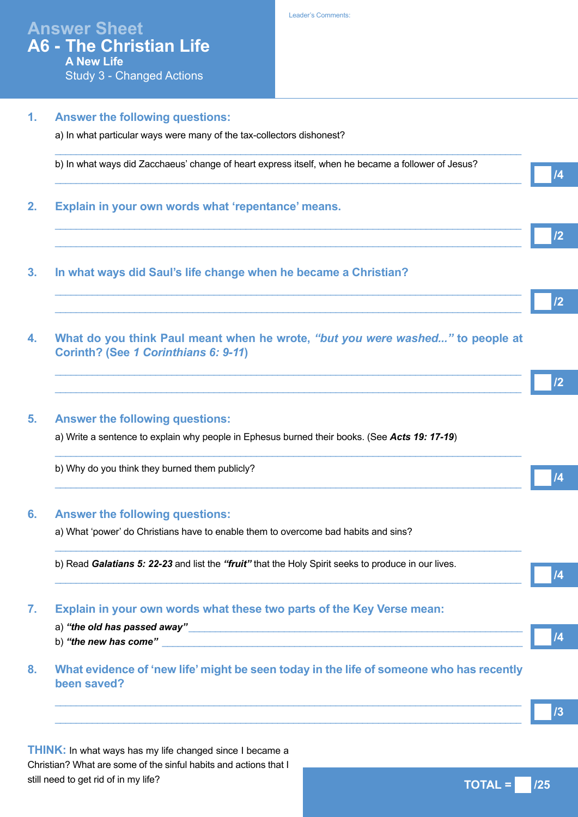#### **1. Answer the following questions:**

Study 3 - Changed Actions

a) In what particular ways were many of the tax-collectors dishonest?

 $\_$  ,  $\_$  ,  $\_$  ,  $\_$  ,  $\_$  ,  $\_$  ,  $\_$  ,  $\_$  ,  $\_$  ,  $\_$  ,  $\_$  ,  $\_$  ,  $\_$  ,  $\_$  ,  $\_$  ,  $\_$  ,  $\_$  ,  $\_$  ,  $\_$  ,  $\_$  ,  $\_$  ,  $\_$  ,  $\_$  ,  $\_$  ,  $\_$  ,  $\_$  ,  $\_$  ,  $\_$  ,  $\_$  ,  $\_$  ,  $\_$  ,  $\_$  ,  $\_$  ,  $\_$  ,  $\_$  ,  $\_$  ,  $\_$  , b) In what ways did Zacchaeus' change of heart express itself, when he became a follower of Jesus?  $\_$  ,  $\_$  ,  $\_$  ,  $\_$  ,  $\_$  ,  $\_$  ,  $\_$  ,  $\_$  ,  $\_$  ,  $\_$  ,  $\_$  ,  $\_$  ,  $\_$  ,  $\_$  ,  $\_$  ,  $\_$  ,  $\_$  ,  $\_$  ,  $\_$  ,  $\_$  ,  $\_$  ,  $\_$  ,  $\_$  ,  $\_$  ,  $\_$  ,  $\_$  ,  $\_$  ,  $\_$  ,  $\_$  ,  $\_$  ,  $\_$  ,  $\_$  ,  $\_$  ,  $\_$  ,  $\_$  ,  $\_$  ,  $\_$  ,

 $\_$  ,  $\_$  ,  $\_$  ,  $\_$  ,  $\_$  ,  $\_$  ,  $\_$  ,  $\_$  ,  $\_$  ,  $\_$  ,  $\_$  ,  $\_$  ,  $\_$  ,  $\_$  ,  $\_$  ,  $\_$  ,  $\_$  ,  $\_$  ,  $\_$  ,  $\_$  ,  $\_$  ,  $\_$  ,  $\_$  ,  $\_$  ,  $\_$  ,  $\_$  ,  $\_$  ,  $\_$  ,  $\_$  ,  $\_$  ,  $\_$  ,  $\_$  ,  $\_$  ,  $\_$  ,  $\_$  ,  $\_$  ,  $\_$  ,  $\_$  ,  $\_$  ,  $\_$  ,  $\_$  ,  $\_$  ,  $\_$  ,  $\_$  ,  $\_$  ,  $\_$  ,  $\_$  ,  $\_$  ,  $\_$  ,  $\_$  ,  $\_$  ,  $\_$  ,  $\_$  ,  $\_$  ,  $\_$  ,  $\_$  ,  $\_$  ,  $\_$  ,  $\_$  ,  $\_$  ,  $\_$  ,  $\_$  ,  $\_$  ,  $\_$  ,  $\_$  ,  $\_$  ,  $\_$  ,  $\_$  ,  $\_$  ,  $\_$  ,  $\_$  ,  $\_$  ,  $\_$  ,  $\_$  ,

 $\_$  ,  $\_$  ,  $\_$  ,  $\_$  ,  $\_$  ,  $\_$  ,  $\_$  ,  $\_$  ,  $\_$  ,  $\_$  ,  $\_$  ,  $\_$  ,  $\_$  ,  $\_$  ,  $\_$  ,  $\_$  ,  $\_$  ,  $\_$  ,  $\_$  ,  $\_$  ,  $\_$  ,  $\_$  ,  $\_$  ,  $\_$  ,  $\_$  ,  $\_$  ,  $\_$  ,  $\_$  ,  $\_$  ,  $\_$  ,  $\_$  ,  $\_$  ,  $\_$  ,  $\_$  ,  $\_$  ,  $\_$  ,  $\_$  ,  $\_$  ,  $\_$  ,  $\_$  ,  $\_$  ,  $\_$  ,  $\_$  ,  $\_$  ,  $\_$  ,  $\_$  ,  $\_$  ,  $\_$  ,  $\_$  ,  $\_$  ,  $\_$  ,  $\_$  ,  $\_$  ,  $\_$  ,  $\_$  ,  $\_$  ,  $\_$  ,  $\_$  ,  $\_$  ,  $\_$  ,  $\_$  ,  $\_$  ,  $\_$  ,  $\_$  ,  $\_$  ,  $\_$  ,  $\_$  ,  $\_$  ,  $\_$  ,  $\_$  ,  $\_$  ,  $\_$  ,  $\_$  ,  $\_$  ,

### **2. Explain in your own words what 'repentance' means.**

- **3. In what ways did Saul's life change when he became a Christian?**
- **4. What do you think Paul meant when he wrote,** *"but you were washed..."* **to people at Corinth? (See** *1 Corinthians 6: 9-11***)**

 $\_$  ,  $\_$  ,  $\_$  ,  $\_$  ,  $\_$  ,  $\_$  ,  $\_$  ,  $\_$  ,  $\_$  ,  $\_$  ,  $\_$  ,  $\_$  ,  $\_$  ,  $\_$  ,  $\_$  ,  $\_$  ,  $\_$  ,  $\_$  ,  $\_$  ,  $\_$  ,  $\_$  ,  $\_$  ,  $\_$  ,  $\_$  ,  $\_$  ,  $\_$  ,  $\_$  ,  $\_$  ,  $\_$  ,  $\_$  ,  $\_$  ,  $\_$  ,  $\_$  ,  $\_$  ,  $\_$  ,  $\_$  ,  $\_$  ,  $\_$  ,  $\_$  ,  $\_$  ,  $\_$  ,  $\_$  ,  $\_$  ,  $\_$  ,  $\_$  ,  $\_$  ,  $\_$  ,  $\_$  ,  $\_$  ,  $\_$  ,  $\_$  ,  $\_$  ,  $\_$  ,  $\_$  ,  $\_$  ,  $\_$  ,  $\_$  ,  $\_$  ,  $\_$  ,  $\_$  ,  $\_$  ,  $\_$  ,  $\_$  ,  $\_$  ,  $\_$  ,  $\_$  ,  $\_$  ,  $\_$  ,  $\_$  ,  $\_$  ,  $\_$  ,  $\_$  ,  $\_$  ,  $\_$  ,

 $\_$  ,  $\_$  ,  $\_$  ,  $\_$  ,  $\_$  ,  $\_$  ,  $\_$  ,  $\_$  ,  $\_$  ,  $\_$  ,  $\_$  ,  $\_$  ,  $\_$  ,  $\_$  ,  $\_$  ,  $\_$  ,  $\_$  ,  $\_$  ,  $\_$  ,  $\_$  ,  $\_$  ,  $\_$  ,  $\_$  ,  $\_$  ,  $\_$  ,  $\_$  ,  $\_$  ,  $\_$  ,  $\_$  ,  $\_$  ,  $\_$  ,  $\_$  ,  $\_$  ,  $\_$  ,  $\_$  ,  $\_$  ,  $\_$  ,

 $\_$  ,  $\_$  ,  $\_$  ,  $\_$  ,  $\_$  ,  $\_$  ,  $\_$  ,  $\_$  ,  $\_$  ,  $\_$  ,  $\_$  ,  $\_$  ,  $\_$  ,  $\_$  ,  $\_$  ,  $\_$  ,  $\_$  ,  $\_$  ,  $\_$  ,  $\_$  ,  $\_$  ,  $\_$  ,  $\_$  ,  $\_$  ,  $\_$  ,  $\_$  ,  $\_$  ,  $\_$  ,  $\_$  ,  $\_$  ,  $\_$  ,  $\_$  ,  $\_$  ,  $\_$  ,  $\_$  ,  $\_$  ,  $\_$  ,

 $\_$  ,  $\_$  ,  $\_$  ,  $\_$  ,  $\_$  ,  $\_$  ,  $\_$  ,  $\_$  ,  $\_$  ,  $\_$  ,  $\_$  ,  $\_$  ,  $\_$  ,  $\_$  ,  $\_$  ,  $\_$  ,  $\_$  ,  $\_$  ,  $\_$  ,  $\_$  ,  $\_$  ,  $\_$  ,  $\_$  ,  $\_$  ,  $\_$  ,  $\_$  ,  $\_$  ,  $\_$  ,  $\_$  ,  $\_$  ,  $\_$  ,  $\_$  ,  $\_$  ,  $\_$  ,  $\_$  ,  $\_$  ,  $\_$  ,

 $\_$  ,  $\_$  ,  $\_$  ,  $\_$  ,  $\_$  ,  $\_$  ,  $\_$  ,  $\_$  ,  $\_$  ,  $\_$  ,  $\_$  ,  $\_$  ,  $\_$  ,  $\_$  ,  $\_$  ,  $\_$  ,  $\_$  ,  $\_$  ,  $\_$  ,  $\_$  ,  $\_$  ,  $\_$  ,  $\_$  ,  $\_$  ,  $\_$  ,  $\_$  ,  $\_$  ,  $\_$  ,  $\_$  ,  $\_$  ,  $\_$  ,  $\_$  ,  $\_$  ,  $\_$  ,  $\_$  ,  $\_$  ,  $\_$  ,

 $\_$  ,  $\_$  ,  $\_$  ,  $\_$  ,  $\_$  ,  $\_$  ,  $\_$  ,  $\_$  ,  $\_$  ,  $\_$  ,  $\_$  ,  $\_$  ,  $\_$  ,  $\_$  ,  $\_$  ,  $\_$  ,  $\_$  ,  $\_$  ,  $\_$  ,  $\_$  ,  $\_$  ,  $\_$  ,  $\_$  ,  $\_$  ,  $\_$  ,  $\_$  ,  $\_$  ,  $\_$  ,  $\_$  ,  $\_$  ,  $\_$  ,  $\_$  ,  $\_$  ,  $\_$  ,  $\_$  ,  $\_$  ,  $\_$  ,  $\_$  ,  $\_$  ,  $\_$  ,  $\_$  ,  $\_$  ,  $\_$  ,  $\_$  ,  $\_$  ,  $\_$  ,  $\_$  ,  $\_$  ,  $\_$  ,  $\_$  ,  $\_$  ,  $\_$  ,  $\_$  ,  $\_$  ,  $\_$  ,  $\_$  ,  $\_$  ,  $\_$  ,  $\_$  ,  $\_$  ,  $\_$  ,  $\_$  ,  $\_$  ,  $\_$  ,  $\_$  ,  $\_$  ,  $\_$  ,  $\_$  ,  $\_$  ,  $\_$  ,  $\_$  ,  $\_$  ,  $\_$  ,  $\_$  ,

**/2**

**/4**

**/2**

**/2**

**/4**

**/4**

**/3**

#### **5. Answer the following questions:**

a) Write a sentence to explain why people in Ephesus burned their books. (See *Acts 19: 17-19*)

b) Why do you think they burned them publicly?

#### **6. Answer the following questions:**

a) What 'power' do Christians have to enable them to overcome bad habits and sins?

b) Read *Galatians 5: 22-23* and list the *"fruit"* that the Holy Spirit seeks to produce in our lives.

#### **7. Explain in your own words what these two parts of the Key Verse mean:**

a) "the old has passed away" b) "the new has come" **8. What evidence of 'new life' might be seen today in the life of someone who has recently been saved? /4**

**THINK:** In what ways has my life changed since I became a Christian? What are some of the sinful habits and actions that I still need to get rid of in my life?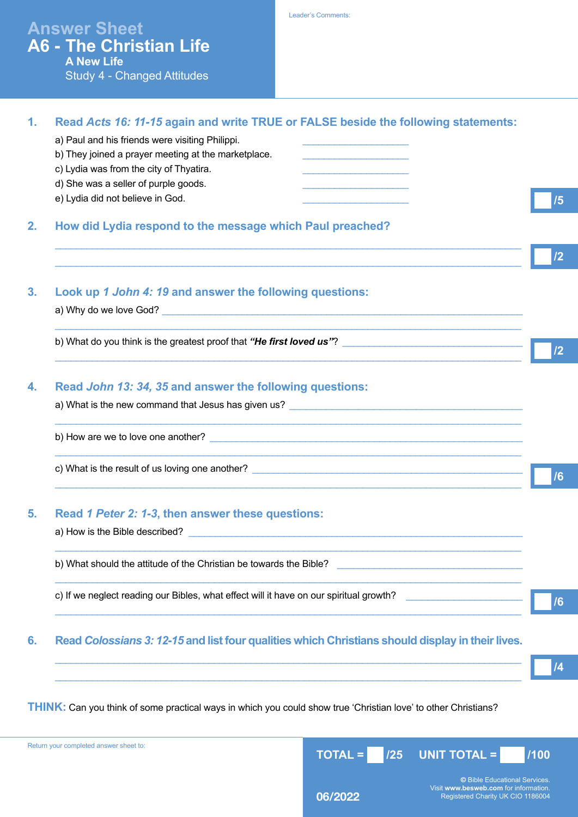|                | <b>Study 4 - Changed Attitudes</b>                                                                                                                                                                                                                                                                                  |                 |
|----------------|---------------------------------------------------------------------------------------------------------------------------------------------------------------------------------------------------------------------------------------------------------------------------------------------------------------------|-----------------|
| 1.             | Read Acts 16: 11-15 again and write TRUE or FALSE beside the following statements:<br>a) Paul and his friends were visiting Philippi.<br>b) They joined a prayer meeting at the marketplace.<br>c) Lydia was from the city of Thyatira.<br>d) She was a seller of purple goods.<br>e) Lydia did not believe in God. | /5              |
| 2.             | How did Lydia respond to the message which Paul preached?                                                                                                                                                                                                                                                           | 12              |
| 3 <sub>1</sub> | Look up 1 John 4: 19 and answer the following questions:                                                                                                                                                                                                                                                            |                 |
|                |                                                                                                                                                                                                                                                                                                                     | 12              |
| 4.             | Read John 13: 34, 35 and answer the following questions:                                                                                                                                                                                                                                                            |                 |
|                |                                                                                                                                                                                                                                                                                                                     |                 |
|                |                                                                                                                                                                                                                                                                                                                     | /6              |
| 5.             | Read 1 Peter 2: 1-3, then answer these questions:                                                                                                                                                                                                                                                                   |                 |
|                | b) What should the attitude of the Christian be towards the Bible?                                                                                                                                                                                                                                                  |                 |
|                | c) If we neglect reading our Bibles, what effect will it have on our spiritual growth?                                                                                                                                                                                                                              | /6              |
| 6.             | Read Colossians 3: 12-15 and list four qualities which Christians should display in their lives.                                                                                                                                                                                                                    |                 |
|                |                                                                                                                                                                                                                                                                                                                     | $\overline{14}$ |
|                |                                                                                                                                                                                                                                                                                                                     |                 |

Leader's Comments:

**Answer Sheet**

**A New Life**

**A6 - The Christian Life**

**THINK:** Can you think of some practical ways in which you could show true 'Christian love' to other Christians?

Registered Charity UK CIO 1186004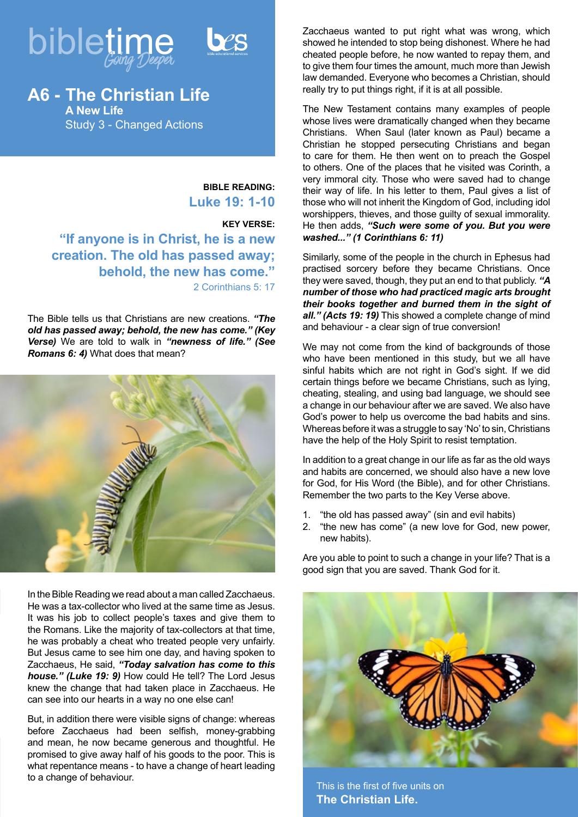



**A6 - The Christian Life A New Life** Study 3 - Changed Actions

> **BIBLE READING: Luke 19: 1-10**

**KEY VERSE: "If anyone is in Christ, he is a new creation. The old has passed away; behold, the new has come."** 2 Corinthians 5: 17

The Bible tells us that Christians are new creations. *"The old has passed away; behold, the new has come." (Key Verse)* We are told to walk in *"newness of life." (See Romans 6: 4)* What does that mean?



In the Bible Reading we read about a man called Zacchaeus. He was a tax-collector who lived at the same time as Jesus. It was his job to collect people's taxes and give them to the Romans. Like the majority of tax-collectors at that time, he was probably a cheat who treated people very unfairly. But Jesus came to see him one day, and having spoken to Zacchaeus, He said, *"Today salvation has come to this house." (Luke 19: 9)* How could He tell? The Lord Jesus knew the change that had taken place in Zacchaeus. He can see into our hearts in a way no one else can!

But, in addition there were visible signs of change: whereas before Zacchaeus had been selfish, money-grabbing and mean, he now became generous and thoughtful. He promised to give away half of his goods to the poor. This is what repentance means - to have a change of heart leading to a change of behaviour.

Zacchaeus wanted to put right what was wrong, which showed he intended to stop being dishonest. Where he had cheated people before, he now wanted to repay them, and to give them four times the amount, much more than Jewish law demanded. Everyone who becomes a Christian, should really try to put things right, if it is at all possible.

The New Testament contains many examples of people whose lives were dramatically changed when they became Christians. When Saul (later known as Paul) became a Christian he stopped persecuting Christians and began to care for them. He then went on to preach the Gospel to others. One of the places that he visited was Corinth, a very immoral city. Those who were saved had to change their way of life. In his letter to them, Paul gives a list of those who will not inherit the Kingdom of God, including idol worshippers, thieves, and those guilty of sexual immorality. He then adds, *"Such were some of you. But you were washed..." (1 Corinthians 6: 11)* 

Similarly, some of the people in the church in Ephesus had practised sorcery before they became Christians. Once they were saved, though, they put an end to that publicly. *"A number of those who had practiced magic arts brought their books together and burned them in the sight of all." (Acts 19: 19)* This showed a complete change of mind and behaviour - a clear sign of true conversion!

We may not come from the kind of backgrounds of those who have been mentioned in this study, but we all have sinful habits which are not right in God's sight. If we did certain things before we became Christians, such as lying, cheating, stealing, and using bad language, we should see a change in our behaviour after we are saved. We also have God's power to help us overcome the bad habits and sins. Whereas before it was a struggle to say 'No' to sin, Christians have the help of the Holy Spirit to resist temptation.

In addition to a great change in our life as far as the old ways and habits are concerned, we should also have a new love for God, for His Word (the Bible), and for other Christians. Remember the two parts to the Key Verse above.

- 1. "the old has passed away" (sin and evil habits)
- 2. "the new has come" (a new love for God, new power, new habits).

Are you able to point to such a change in your life? That is a good sign that you are saved. Thank God for it.



This is the first of five units on **The Christian Life.**